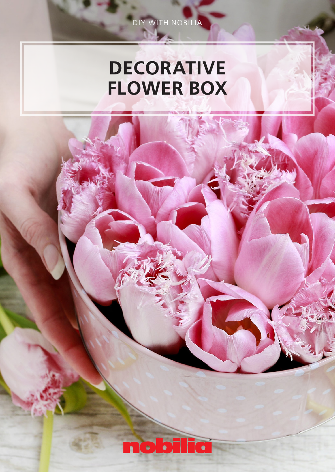# DECORATIVE FLOWER BOX

DIY WITH NOBILIA